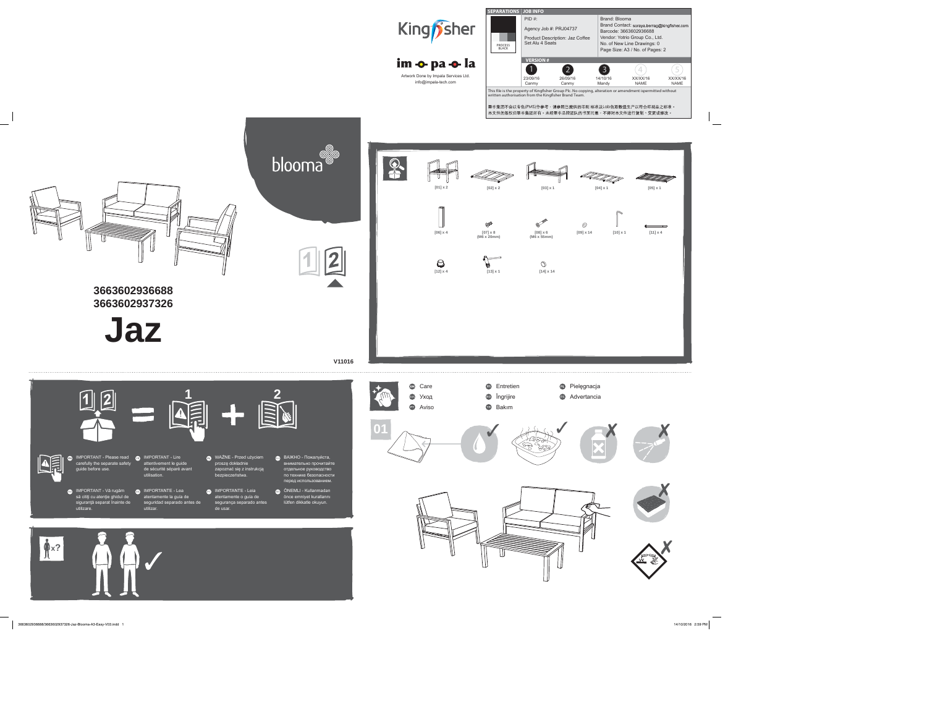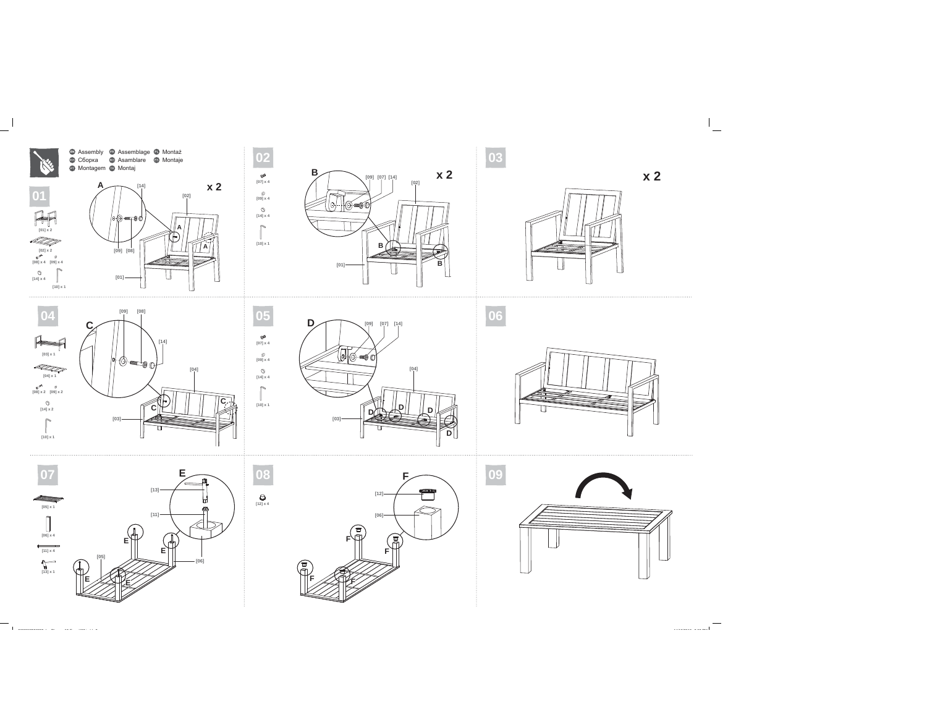

**x 2**

**B**

**B**

**[09] [07] [14]**

**[02]**













 $\bigotimes$  [12] x 4

3663602936688 J Bl A3 E V03 i dd 2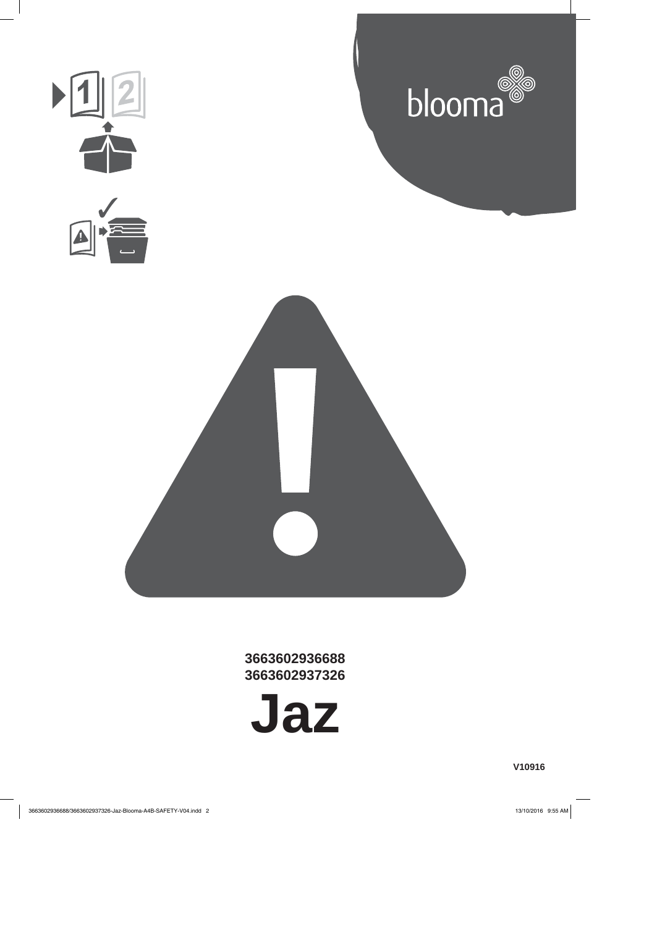

**3663602936688 3663602937326**

**Jaz**

**V10916**